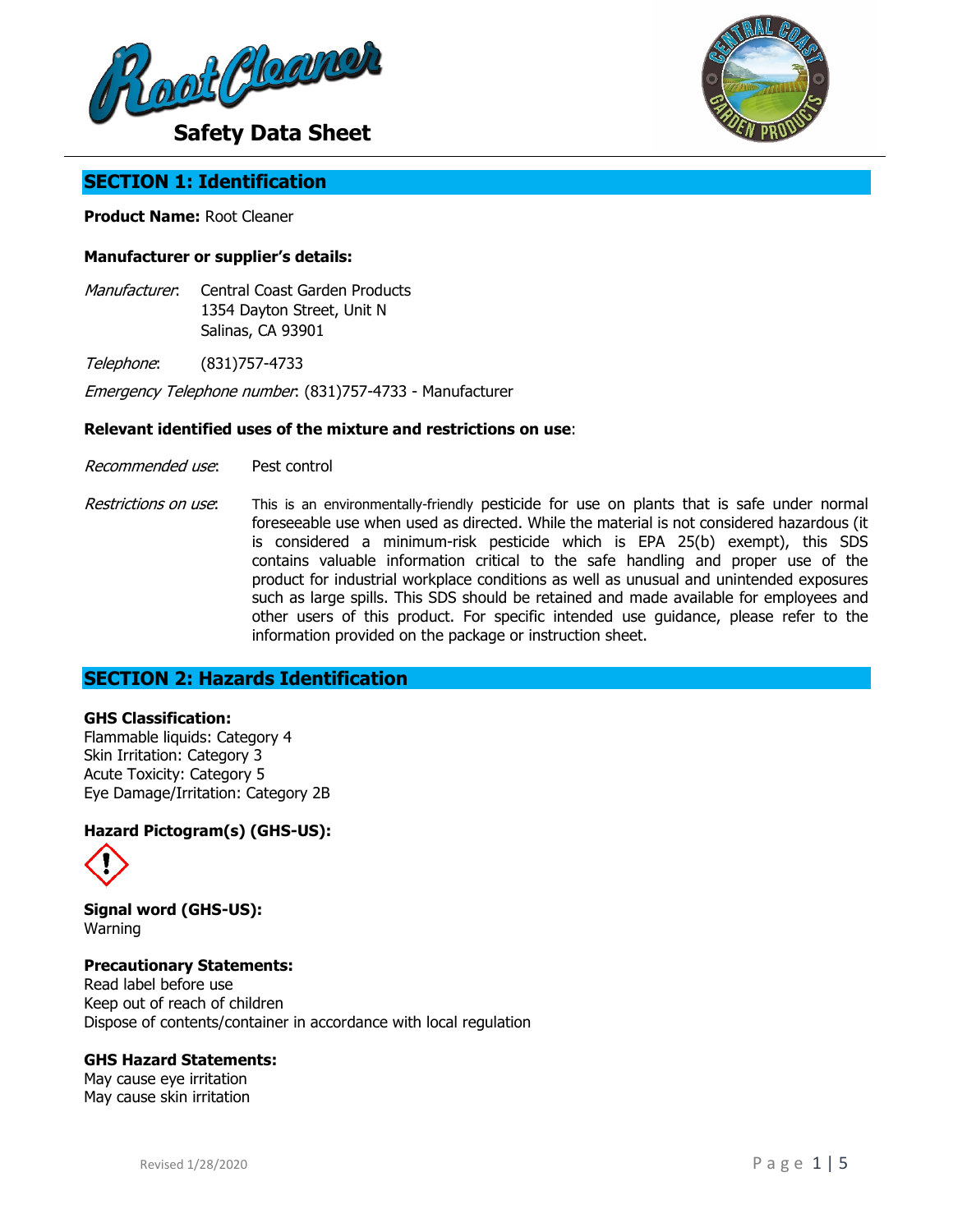



# **SECTION 1: Identification**

### **Product Name:** Root Cleaner

### **Manufacturer or supplier's details:**

- Manufacturer: Central Coast Garden Products 1354 Dayton Street, Unit N Salinas, CA 93901
- Telephone: (831)757-4733

Emergency Telephone number: (831)757-4733 - Manufacturer

#### **Relevant identified uses of the mixture and restrictions on use**:

- Recommended use: Pest control
- Restrictions on use: This is an environmentally-friendly pesticide for use on plants that is safe under normal foreseeable use when used as directed. While the material is not considered hazardous (it is considered a minimum-risk pesticide which is EPA 25(b) exempt), this SDS contains valuable information critical to the safe handling and proper use of the product for industrial workplace conditions as well as unusual and unintended exposures such as large spills. This SDS should be retained and made available for employees and other users of this product. For specific intended use guidance, please refer to the information provided on the package or instruction sheet.

# **SECTION 2: Hazards Identification**

### **GHS Classification:**

Flammable liquids: Category 4 Skin Irritation: Category 3 Acute Toxicity: Category 5 Eye Damage/Irritation: Category 2B

### **Hazard Pictogram(s) (GHS-US):**



**Signal word (GHS-US):** Warning

**Precautionary Statements:** Read label before use Keep out of reach of children Dispose of contents/container in accordance with local regulation

#### **GHS Hazard Statements:**

May cause eye irritation May cause skin irritation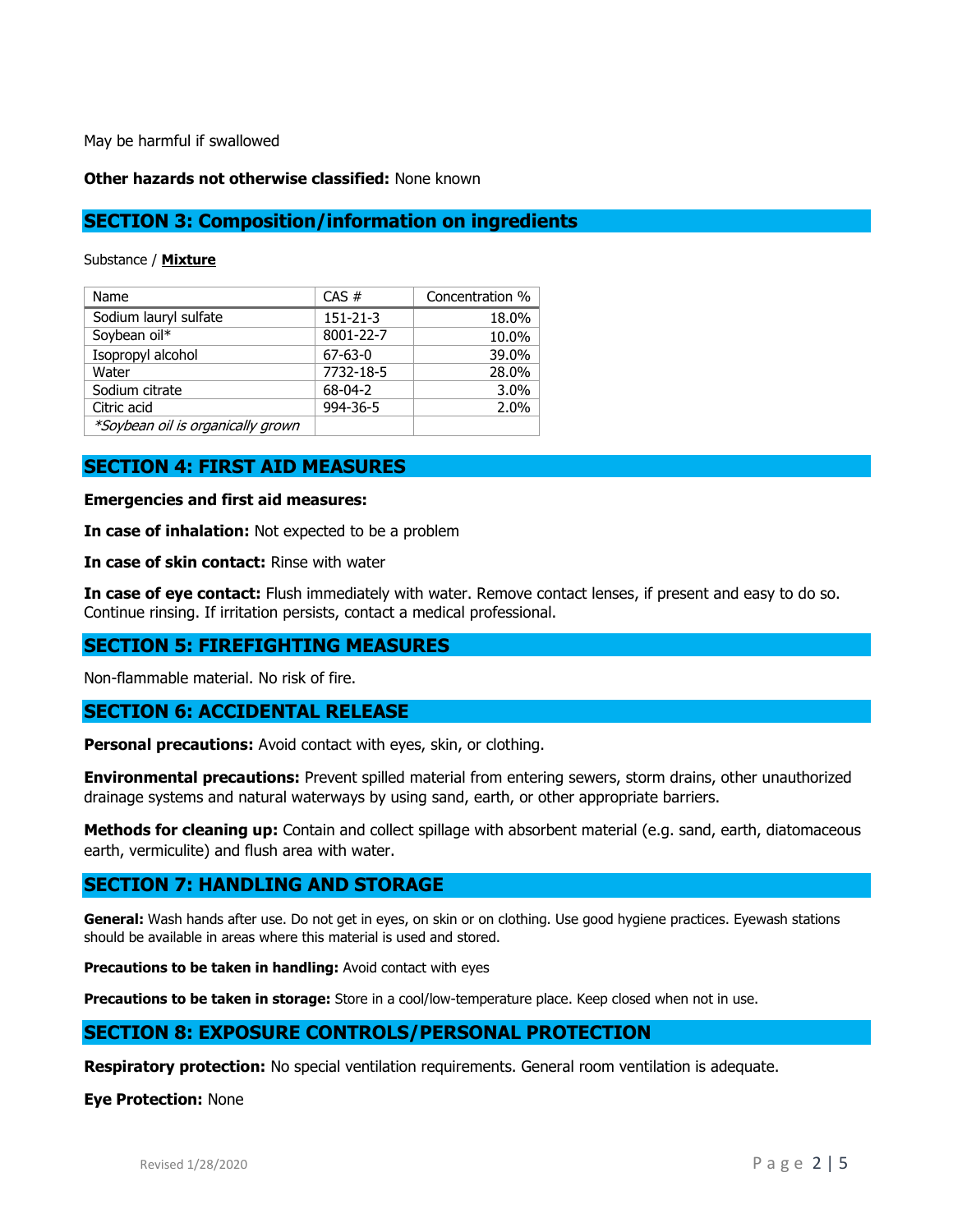May be harmful if swallowed

#### **Other hazards not otherwise classified:** None known

## **SECTION 3: Composition/information on ingredients**

Substance / **Mixture**

| Name                              | CAS #          | Concentration % |
|-----------------------------------|----------------|-----------------|
| Sodium lauryl sulfate             | $151 - 21 - 3$ | 18.0%           |
| Soybean oil*                      | 8001-22-7      | 10.0%           |
| Isopropyl alcohol                 | $67 - 63 - 0$  | 39.0%           |
| Water                             | 7732-18-5      | 28.0%           |
| Sodium citrate                    | $68-04-2$      | 3.0%            |
| Citric acid                       | 994-36-5       | 2.0%            |
| *Soybean oil is organically grown |                |                 |

## **SECTION 4: FIRST AID MEASURES**

**Emergencies and first aid measures:**

**In case of inhalation:** Not expected to be a problem

**In case of skin contact:** Rinse with water

**In case of eye contact:** Flush immediately with water. Remove contact lenses, if present and easy to do so. Continue rinsing. If irritation persists, contact a medical professional.

## **SECTION 5: FIREFIGHTING MEASURES**

Non-flammable material. No risk of fire.

## **SECTION 6: ACCIDENTAL RELEASE**

**Personal precautions:** Avoid contact with eyes, skin, or clothing.

**Environmental precautions:** Prevent spilled material from entering sewers, storm drains, other unauthorized drainage systems and natural waterways by using sand, earth, or other appropriate barriers.

**Methods for cleaning up:** Contain and collect spillage with absorbent material (e.g. sand, earth, diatomaceous earth, vermiculite) and flush area with water.

### **SECTION 7: HANDLING AND STORAGE**

**General:** Wash hands after use. Do not get in eyes, on skin or on clothing. Use good hygiene practices. Eyewash stations should be available in areas where this material is used and stored.

**Precautions to be taken in handling:** Avoid contact with eyes

**Precautions to be taken in storage:** Store in a cool/low-temperature place. Keep closed when not in use.

## **SECTION 8: EXPOSURE CONTROLS/PERSONAL PROTECTION**

**Respiratory protection:** No special ventilation requirements. General room ventilation is adequate.

**Eye Protection:** None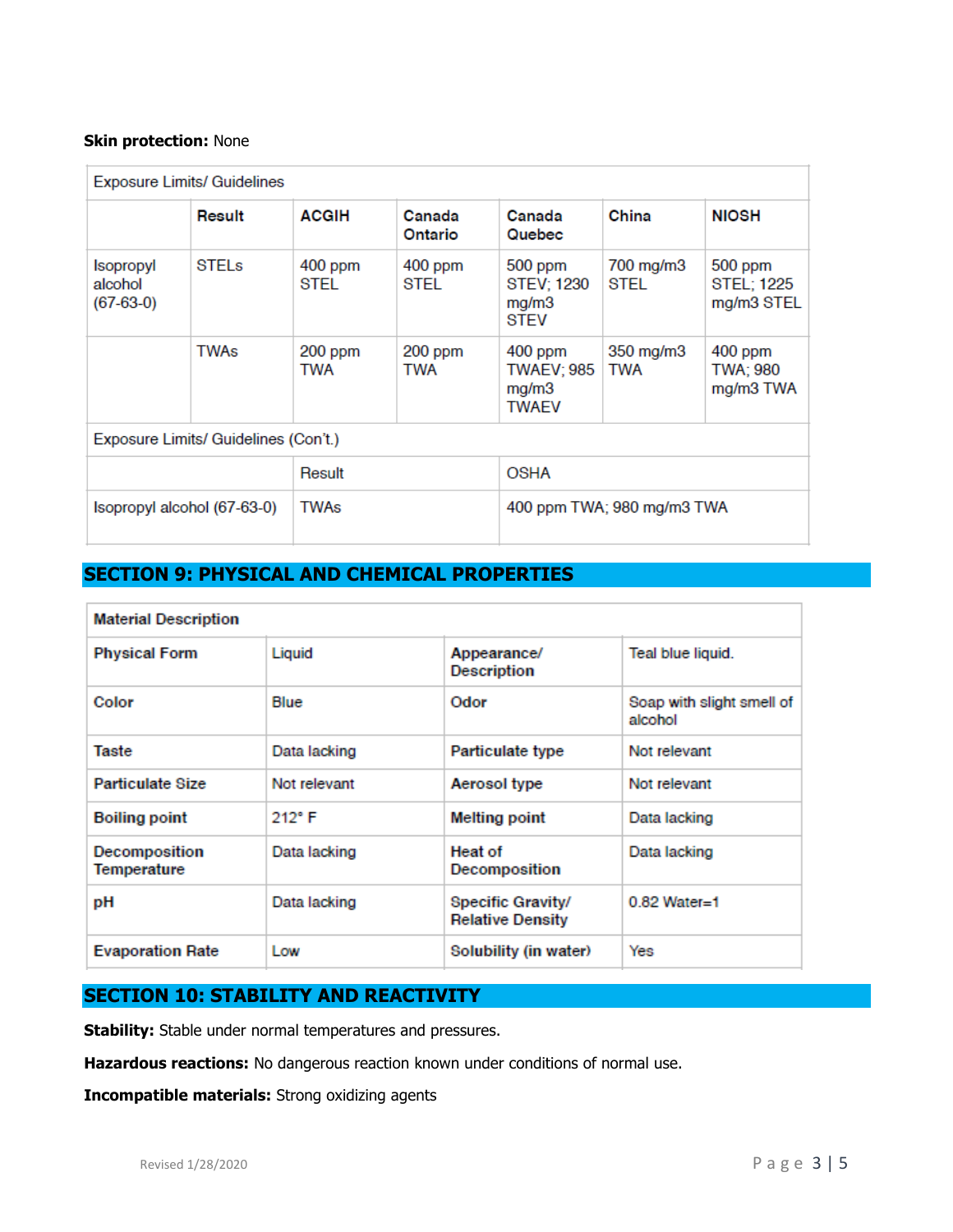#### **Skin protection:** None

| <b>Exposure Limits/ Guidelines</b>   |              |                   |                       |                                                  |                   |                                            |
|--------------------------------------|--------------|-------------------|-----------------------|--------------------------------------------------|-------------------|--------------------------------------------|
|                                      | Result       | <b>ACGIH</b>      | Canada<br>Ontario     | Canada<br>Quebec                                 | China             | <b>NIOSH</b>                               |
| Isopropyl<br>alcohol<br>$(67-63-0)$  | <b>STELS</b> | $400$ ppm<br>STEL | $400$ ppm<br>STEL     | 500 ppm<br>STEV; 1230<br>mg/m3<br><b>STEV</b>    | 700 mg/m3<br>STEL | 500 ppm<br><b>STEL: 1225</b><br>mg/m3 STEL |
|                                      | <b>TWAs</b>  | $200$ ppm<br>TWA  | 200 ppm<br><b>TWA</b> | $400$ ppm<br>TWAEV; 985<br>mg/m3<br><b>TWAEV</b> | 350 mg/m3<br>TWA  | $400$ ppm<br>TWA: 980<br>mg/m3 TWA         |
| Exposure Limits/ Guidelines (Con't.) |              |                   |                       |                                                  |                   |                                            |
|                                      |              | Result            |                       | <b>OSHA</b>                                      |                   |                                            |
| Isopropyl alcohol (67-63-0)          |              | TWAs              |                       | 400 ppm TWA; 980 mg/m3 TWA                       |                   |                                            |

# **SECTION 9: PHYSICAL AND CHEMICAL PROPERTIES**

| <b>Material Description</b>  |                 |                                              |                                      |
|------------------------------|-----------------|----------------------------------------------|--------------------------------------|
| <b>Physical Form</b>         | Liquid          | Appearance/<br><b>Description</b>            | Teal blue liquid.                    |
| Color                        | Blue            | Odor                                         | Soap with slight smell of<br>alcohol |
| Taste                        | Data lacking    | Particulate type                             | Not relevant                         |
| <b>Particulate Size</b>      | Not relevant    | Aerosol type                                 | Not relevant                         |
| <b>Boiling point</b>         | $212^{\circ}$ F | <b>Melting point</b>                         | Data lacking                         |
| Decomposition<br>Temperature | Data lacking    | <b>Heat of</b><br>Decomposition              | Data lacking                         |
| рH                           | Data lacking    | Specific Gravity/<br><b>Relative Density</b> | $0.82$ Water=1                       |
| <b>Evaporation Rate</b>      | Low             | Solubility (in water)                        | Yes                                  |

# **SECTION 10: STABILITY AND REACTIVITY**

**Stability:** Stable under normal temperatures and pressures.

**Hazardous reactions:** No dangerous reaction known under conditions of normal use.

**Incompatible materials:** Strong oxidizing agents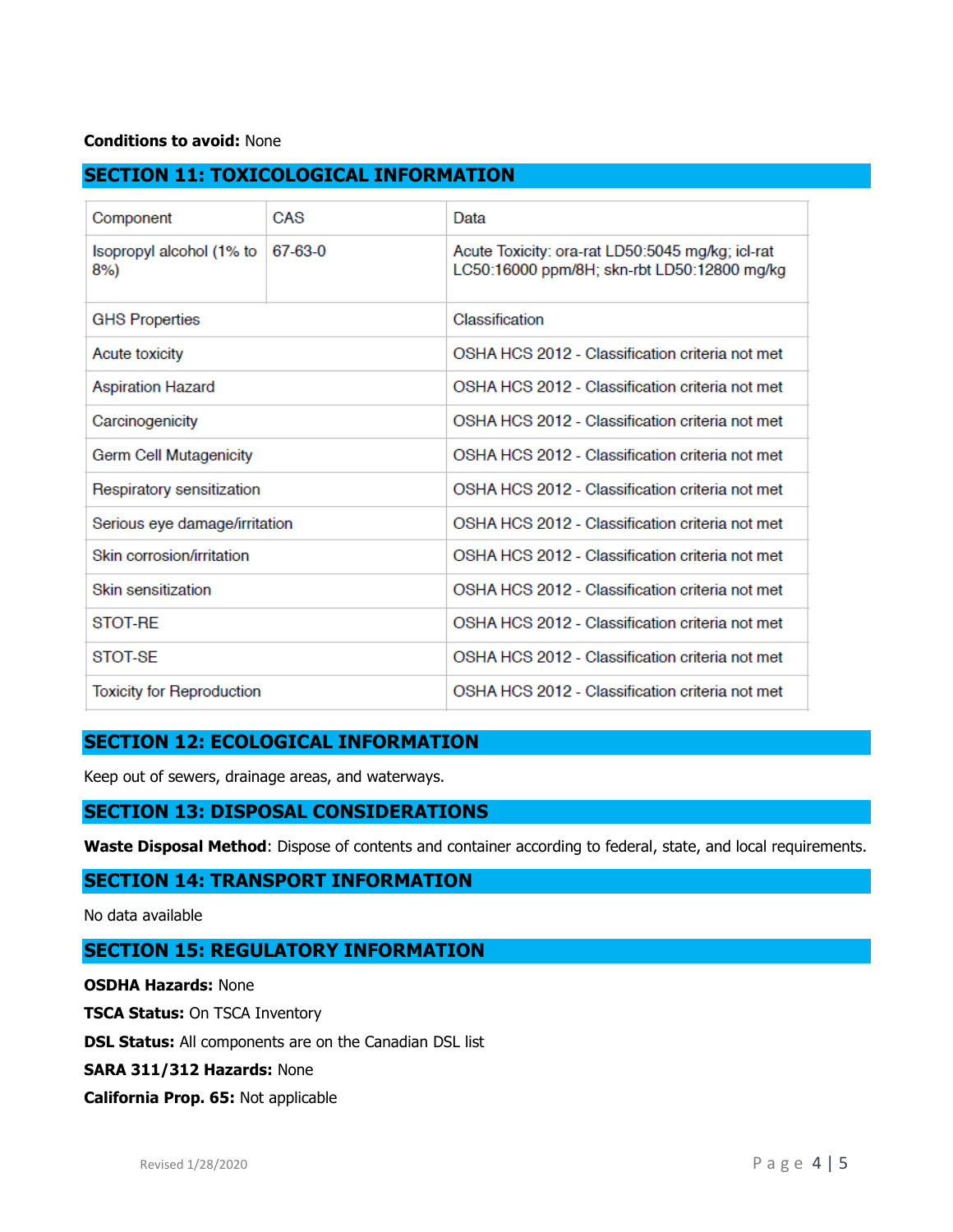### **Conditions to avoid:** None

# **SECTION 11: TOXICOLOGICAL INFORMATION**

| Component                        | CAS     | Data                                                                                            |  |
|----------------------------------|---------|-------------------------------------------------------------------------------------------------|--|
| Isopropyl alcohol (1% to<br>8%)  | 67-63-0 | Acute Toxicity: ora-rat LD50:5045 mg/kg; icl-rat<br>LC50:16000 ppm/8H; skn-rbt LD50:12800 mg/kg |  |
| <b>GHS Properties</b>            |         | Classification                                                                                  |  |
| Acute toxicity                   |         | OSHA HCS 2012 - Classification criteria not met                                                 |  |
| <b>Aspiration Hazard</b>         |         | OSHA HCS 2012 - Classification criteria not met                                                 |  |
| Carcinogenicity                  |         | OSHA HCS 2012 - Classification criteria not met                                                 |  |
| <b>Germ Cell Mutagenicity</b>    |         | OSHA HCS 2012 - Classification criteria not met                                                 |  |
| Respiratory sensitization        |         | OSHA HCS 2012 - Classification criteria not met                                                 |  |
| Serious eye damage/irritation    |         | OSHA HCS 2012 - Classification criteria not met                                                 |  |
| Skin corrosion/irritation        |         | OSHA HCS 2012 - Classification criteria not met                                                 |  |
| Skin sensitization               |         | OSHA HCS 2012 - Classification criteria not met                                                 |  |
| STOT-RE                          |         | OSHA HCS 2012 - Classification criteria not met                                                 |  |
| STOT-SE                          |         | OSHA HCS 2012 - Classification criteria not met                                                 |  |
| <b>Toxicity for Reproduction</b> |         | OSHA HCS 2012 - Classification criteria not met                                                 |  |

# **SECTION 12: ECOLOGICAL INFORMATION**

Keep out of sewers, drainage areas, and waterways.

## **SECTION 13: DISPOSAL CONSIDERATIONS**

**Waste Disposal Method**: Dispose of contents and container according to federal, state, and local requirements.

### **SECTION 14: TRANSPORT INFORMATION**

No data available

# **SECTION 15: REGULATORY INFORMATION**

**OSDHA Hazards:** None

**TSCA Status:** On TSCA Inventory

**DSL Status:** All components are on the Canadian DSL list

**SARA 311/312 Hazards:** None

#### **California Prop. 65:** Not applicable